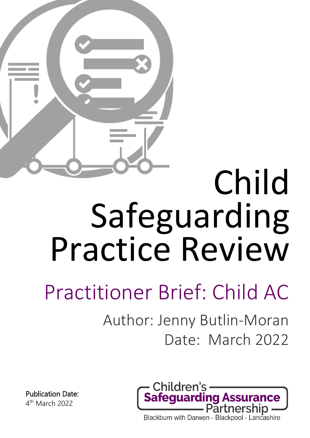

# Child Safeguarding Practice Review

## Practitioner Brief: Child AC

Author: Jenny Butlin-Moran Date: March 2022



Publication Date: 4th March 2022